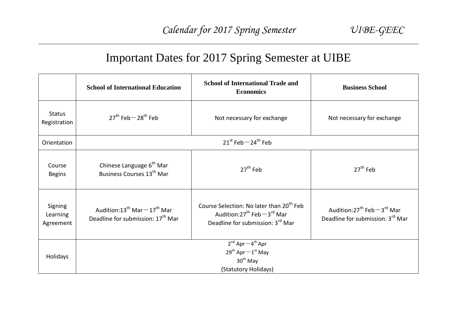## Important Dates for 2017 Spring Semester at UIBE

|                                  | <b>School of International Education</b>                                                | <b>School of International Trade and</b><br><b>Economics</b>                                                                      | <b>Business School</b>                                                    |
|----------------------------------|-----------------------------------------------------------------------------------------|-----------------------------------------------------------------------------------------------------------------------------------|---------------------------------------------------------------------------|
| <b>Status</b><br>Registration    | $27th$ Feb $-28th$ Feb                                                                  | Not necessary for exchange                                                                                                        | Not necessary for exchange                                                |
| Orientation                      | $21^{st}$ Feb $-24^{th}$ Feb                                                            |                                                                                                                                   |                                                                           |
| Course<br><b>Begins</b>          | Chinese Language 6 <sup>th</sup> Mar<br>Business Courses 13 <sup>th</sup> Mar           | $27th$ Feb                                                                                                                        | $27th$ Feb                                                                |
| Signing<br>Learning<br>Agreement | Audition: $13^{th}$ Mar $-17^{th}$ Mar<br>Deadline for submission: 17 <sup>th</sup> Mar | Course Selection: No later than 20 <sup>th</sup> Feb<br>Audition: $27^{th}$ Feb $-3^{rd}$ Mar<br>Deadline for submission: 3rd Mar | Audition: $27^{th}$ Feb $-3^{rd}$ Mar<br>Deadline for submission: 3rd Mar |
| <b>Holidays</b>                  |                                                                                         | $2^{nd}$ Apr $-4^{th}$ Apr<br>$29^{th}$ Apr $-1^{st}$ May<br>$30th$ May<br>(Statutory Holidays)                                   |                                                                           |